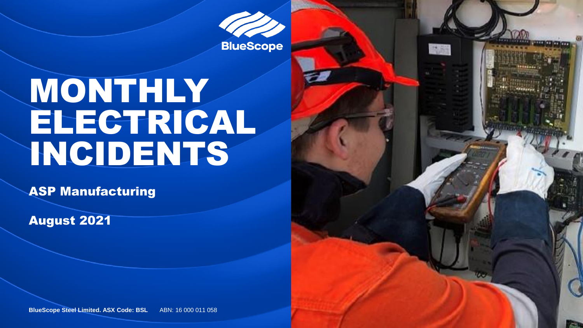**BlueScope** 

高麗

# MONTHLY ELECTRICAL INCIDENTS

ASP Manufacturing

August 2021

**BlueScope Steel Limited. ASX Code: BSL ABN: 16 000 011 058**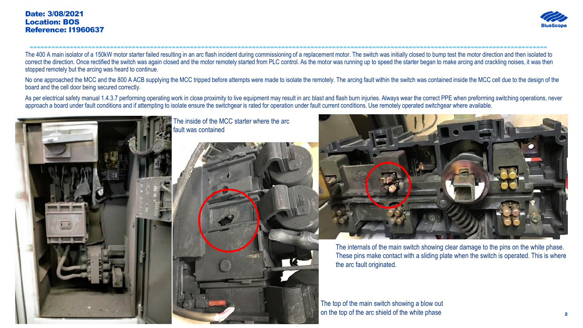#### Date: 3/08/2021 Location: BOS Reference: I1960637



---------------------------------------------------------------------------------------------------------------------------------------------- The 400 A main isolator of a 150kW motor starter failed resulting in an arc flash incident during commissioning of a replacement motor. The switch was initially closed to bump test the motor direction and then isolated to correct the direction. Once rectified the switch was again closed and the motor remotely started from PLC control. As the motor was running up to speed the starter began to make arcing and crackling noises, it was then stopped remotely but the arcing was heard to continue.

No one approached the MCC and the 800 A ACB supplying the MCC tripped before attempts were made to isolate the remotely. The arcing fault within the switch was contained inside the MCC cell due to the design of the board and the cell door being secured correctly.

As per electrical safety manual 1.4.3.7 performing operating work in close proximity to live equipment may result in arc blast and flash burn injuries. Always wear the correct PPE when preforming switching operations, neve approach a board under fault conditions and if attempting to isolate ensure the switchgear is rated for operation under fault current conditions. Use remotely operated switchgear where available.





The internals of the main switch showing clear damage to the pins on the white phase. These pins make contact with a sliding plate when the switch is operated. This is where the arc fault originated.

The top of the main switch showing a blow out on the top of the arc shield of the white phase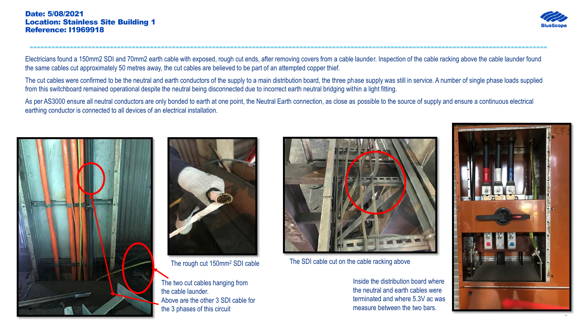

Electricians found a 150mm2 SDI and 70mm2 earth cable with exposed, rough cut ends, after removing covers from a cable launder. Inspection of the cable racking above the cable launder found the same cables cut approximately 50 metres away, the cut cables are believed to be part of an attempted copper thief.

----------------------------------------------------------------------------------------------------------------------------------------------

The cut cables were confirmed to be the neutral and earth conductors of the supply to a main distribution board, the three phase supply was still in service. A number of single phase loads supplied from this switchboard remained operational despite the neutral being disconnected due to incorrect earth neutral bridging within a light fitting.

As per AS3000 ensure all neutral conductors are only bonded to earth at one point, the Neutral Earth connection, as close as possible to the source of supply and ensure a continuous electrical earthing conductor is connected to all devices of an electrical installation.





The rough cut 150mm<sup>2</sup> SDI cable

The two cut cables hanging from the cable launder. Above are the other 3 SDI cable for the 3 phases of this circuit



The SDI cable cut on the cable racking above

Inside the distribution board where the neutral and earth cables were terminated and where 5.3V ac was measure between the two bars.

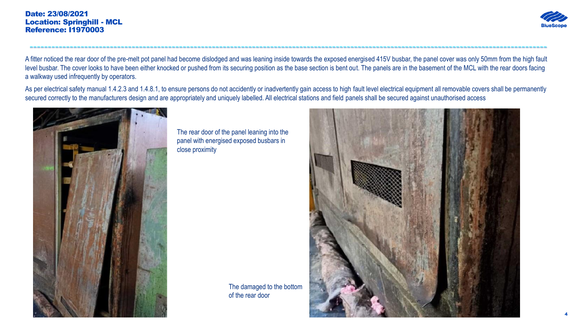### Date: 23/08/2021 Location: Springhill - MCL Reference: I1970003



A fitter noticed the rear door of the pre-melt pot panel had become dislodged and was leaning inside towards the exposed energised 415V busbar, the panel cover was only 50mm from the high fault level busbar. The cover looks to have been either knocked or pushed from its securing position as the base section is bent out. The panels are in the basement of the MCL with the rear doors facing a walkway used infrequently by operators.

----------------------------------------------------------------------------------------------------------------------------------------------

As per electrical safety manual 1.4.2.3 and 1.4.8.1, to ensure persons do not accidently or inadvertently gain access to high fault level electrical equipment all removable covers shall be permanently secured correctly to the manufacturers design and are appropriately and uniquely labelled. All electrical stations and field panels shall be secured against unauthorised access



The rear door of the panel leaning into the panel with energised exposed busbars in close proximity

> The damaged to the bottom of the rear door

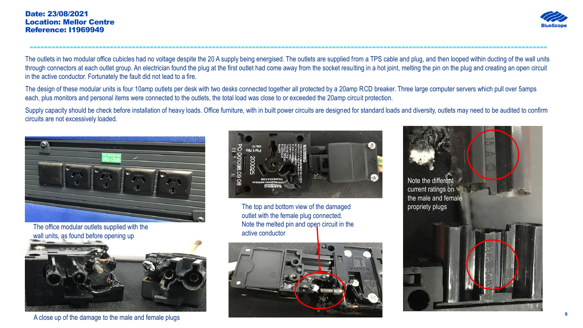### Date: 23/08/2021 Location: Mellor Centre Reference: I1969949



The outlets in two modular office cubicles had no voltage despite the 20 A supply being energised. The outlets are supplied from a TPS cable and plug, and then looped within ducting of the wall units through connectors at each outlet group. An electrician found the plug at the first outlet had come away from the socket resulting in a hot joint, melting the pin on the plug and creating an open circuit in the active conductor. Fortunately the fault did not lead to a fire.

----------------------------------------------------------------------------------------------------------------------------------------------

The design of these modular units is four 10amp outlets per desk with two desks connected together all protected by a 20amp RCD breaker. Three large computer servers which pull over 5amps each, plus monitors and personal items were connected to the outlets, the total load was close to or exceeded the 20amp circuit protection.

Supply capacity should be check before installation of heavy loads. Office furniture, with in built power circuits are designed for standard loads and diversity, outlets may need to be audited to confirm circuits are not excessively loaded.



The office modular outlets supplied with the wall units, as found before opening up



A close up of the damage to the male and female plugs



The top and bottom view of the damaged outlet with the female plug connected. Note the melted pin and open circuit in the active conductor



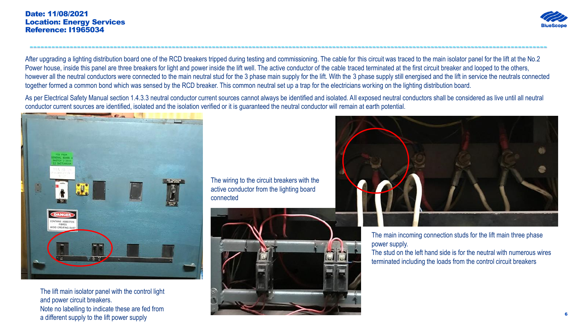### Date: 11/08/2021 Location: Energy Services Reference: I1965034



After upgrading a lighting distribution board one of the RCD breakers tripped during testing and commissioning. The cable for this circuit was traced to the main isolator panel for the lift at the No.2 Power house, inside this panel are three breakers for light and power inside the lift well. The active conductor of the cable traced terminated at the first circuit breaker and looped to the others, however all the neutral conductors were connected to the main neutral stud for the 3 phase main supply for the lift. With the 3 phase supply still energised and the lift in service the neutrals connected together formed a common bond which was sensed by the RCD breaker. This common neutral set up a trap for the electricians working on the lighting distribution board.

----------------------------------------------------------------------------------------------------------------------------------------------

As per Electrical Safety Manual section 1.4.3.3 neutral conductor current sources cannot always be identified and isolated. All exposed neutral conductors shall be considered as live until all neutral conductor current sources are identified, isolated and the isolation verified or it is guaranteed the neutral conductor will remain at earth potential.



The lift main isolator panel with the control light and power circuit breakers. Note no labelling to indicate these are fed from a different supply to the lift power supply

The wiring to the circuit breakers with the active conductor from the lighting board connected





The main incoming connection studs for the lift main three phase power supply.

The stud on the left hand side is for the neutral with numerous wires terminated including the loads from the control circuit breakers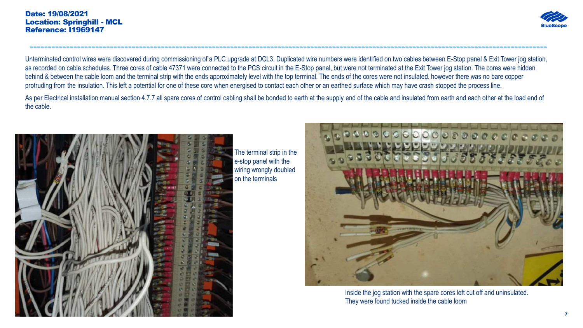

Unterminated control wires were discovered during commissioning of a PLC upgrade at DCL3. Duplicated wire numbers were identified on two cables between E-Stop panel & Exit Tower jog station, as recorded on cable schedules. Three cores of cable 47371 were connected to the PCS circuit in the E-Stop panel, but were not terminated at the Exit Tower jog station. The cores were hidden behind & between the cable loom and the terminal strip with the ends approximately level with the top terminal. The ends of the cores were not insulated, however there was no bare copper protruding from the insulation. This left a potential for one of these core when energised to contact each other or an earthed surface which may have crash stopped the process line.

----------------------------------------------------------------------------------------------------------------------------------------------

As per Electrical installation manual section 4.7.7 all spare cores of control cabling shall be bonded to earth at the supply end of the cable and insulated from earth and each other at the load end of the cable.



The terminal strip in the e-stop panel with the wiring wrongly doubled on the terminals



Inside the jog station with the spare cores left cut off and uninsulated. They were found tucked inside the cable loom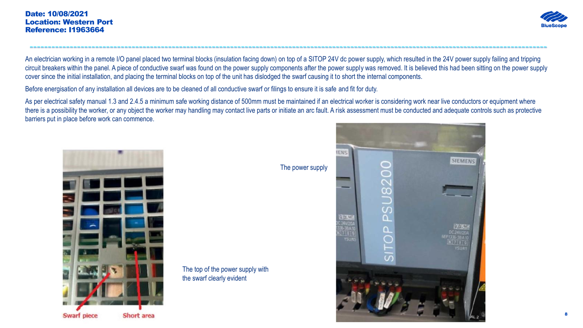

An electrician working in a remote I/O panel placed two terminal blocks (insulation facing down) on top of a SITOP 24V dc power supply, which resulted in the 24V power supply failing and tripping circuit breakers within the panel. A piece of conductive swarf was found on the power supply components after the power supply was removed. It is believed this had been sitting on the power supply cover since the initial installation, and placing the terminal blocks on top of the unit has dislodged the swarf causing it to short the internal components.

----------------------------------------------------------------------------------------------------------------------------------------------

Before energisation of any installation all devices are to be cleaned of all conductive swarf or filings to ensure it is safe and fit for duty.

As per electrical safety manual 1.3 and 2.4.5 a minimum safe working distance of 500mm must be maintained if an electrical worker is considering work near live conductors or equipment where there is a possibility the worker, or any object the worker may handling may contact live parts or initiate an arc fault. A risk assessment must be conducted and adequate controls such as protective barriers put in place before work can commence.



The power supply

The top of the power supply with the swarf clearly evident

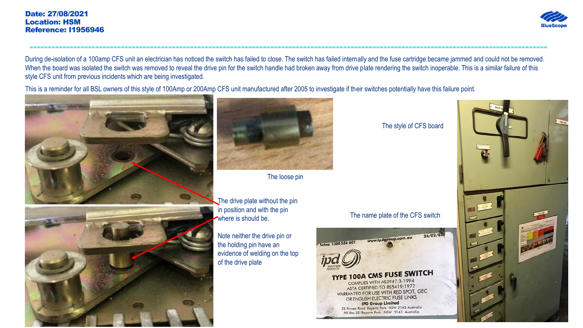

During de-isolation of a 100amp CFS unit an electrician has noticed the switch has failed to close. The switch has failed internally and the fuse cartridge became jammed and could not be removed. When the board was isolated the switch was removed to reveal the drive pin for the switch handle had broken away from drive plate rendering the switch inoperable. This is a similar failure of this style CFS unit from previous incidents which are being investigated.

----------------------------------------------------------------------------------------------------------------------------------------------

This is a reminder for all BSL owners of this style of 100Amp or 200Amp CFS unit manufactured after 2005 to investigate if their switches potentially have this failure point.







The loose pin

The drive plate without the pin in position and with the pin where is should be.

Note neither the drive pin or the holding pin have an evidence of welding on the top of the drive plate

The style of CFS board

## The name plate of the CFS switch